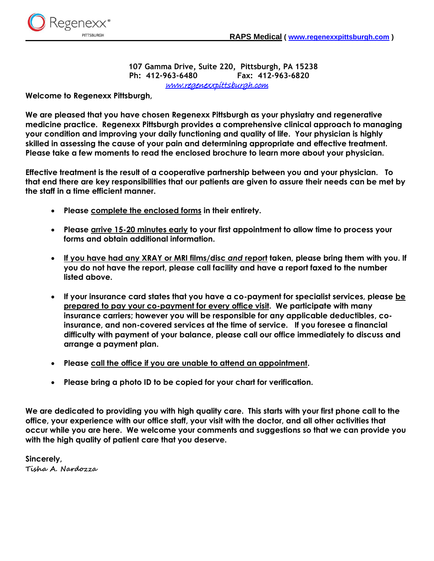

**107 Gamma Drive, Suite 220, Pittsburgh, PA 15238 Ph: 412-963-6480 Fax: 412-963-6820** [www.regenexxpittsburgh.com](http://www.regenexxpittsburgh.com/) 

**Welcome to Regenexx Pittsburgh,**

**We are pleased that you have chosen Regenexx Pittsburgh as your physiatry and regenerative medicine practice. Regenexx Pittsburgh provides a comprehensive clinical approach to managing your condition and improving your daily functioning and quality of life. Your physician is highly skilled in assessing the cause of your pain and determining appropriate and effective treatment. Please take a few moments to read the enclosed brochure to learn more about your physician.**

**Effective treatment is the result of a cooperative partnership between you and your physician. To that end there are key responsibilities that our patients are given to assure their needs can be met by the staff in a time efficient manner.**

- **Please complete the enclosed forms in their entirety.**
- **Please arrive 15-20 minutes early to your first appointment to allow time to process your forms and obtain additional information.**
- **If you have had any XRAY or MRI films/disc** *and* **report taken, please bring them with you. If you do not have the report, please call facility and have a report faxed to the number listed above.**
- **If your insurance card states that you have a co-payment for specialist services, please be prepared to pay your co-payment for every office visit. We participate with many insurance carriers; however you will be responsible for any applicable deductibles, coinsurance, and non-covered services at the time of service. If you foresee a financial difficulty with payment of your balance, please call our office immediately to discuss and arrange a payment plan.**
- **Please call the office if you are unable to attend an appointment.**
- **Please bring a photo ID to be copied for your chart for verification.**

**We are dedicated to providing you with high quality care. This starts with your first phone call to the office, your experience with our office staff, your visit with the doctor, and all other activities that occur while you are here. We welcome your comments and suggestions so that we can provide you with the high quality of patient care that you deserve.**

**Sincerely, Tisha A. Nardozza**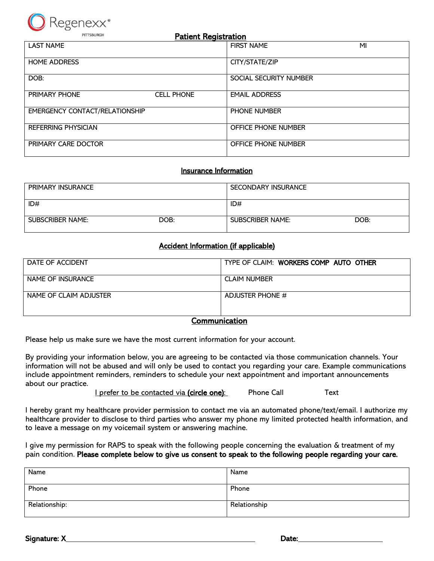

| PITTSBURGH<br><b>Patient Registration</b> |                   |                        |    |
|-------------------------------------------|-------------------|------------------------|----|
| <b>LAST NAME</b>                          |                   | <b>FIRST NAME</b>      | MI |
| <b>HOME ADDRESS</b>                       |                   | CITY/STATE/ZIP         |    |
| DOB:                                      |                   | SOCIAL SECURITY NUMBER |    |
| <b>PRIMARY PHONE</b>                      | <b>CELL PHONE</b> | <b>EMAIL ADDRESS</b>   |    |
| <b>EMERGENCY CONTACT/RELATIONSHIP</b>     |                   | <b>PHONE NUMBER</b>    |    |
| REFERRING PHYSICIAN                       |                   | OFFICE PHONE NUMBER    |    |
| PRIMARY CARE DOCTOR                       |                   | OFFICE PHONE NUMBER    |    |

## Insurance Information

| <b>PRIMARY INSURANCE</b> |      | SECONDARY INSURANCE     |      |
|--------------------------|------|-------------------------|------|
| ID#                      |      | ID#                     |      |
| SUBSCRIBER NAME:         | DOB: | <b>SUBSCRIBER NAME:</b> | DOB: |

## Accident Information (if applicable)

| DATE OF ACCIDENT       | TYPE OF CLAIM: WORKERS COMP AUTO OTHER |  |  |
|------------------------|----------------------------------------|--|--|
| NAME OF INSURANCE      | <b>CLAIM NUMBER</b>                    |  |  |
| NAME OF CLAIM ADJUSTER | ADJUSTER PHONE #                       |  |  |
| Cammunication          |                                        |  |  |

## Communication

Please help us make sure we have the most current information for your account.

By providing your information below, you are agreeing to be contacted via those communication channels. Your information will not be abused and will only be used to contact you regarding your care. Example communications include appointment reminders, reminders to schedule your next appointment and important announcements about our practice.

I prefer to be contacted via (circle one): Phone Call Text

I hereby grant my healthcare provider permission to contact me via an automated phone/text/email. I authorize my healthcare provider to disclose to third parties who answer my phone my limited protected health information, and to leave a message on my voicemail system or answering machine.

I give my permission for RAPS to speak with the following people concerning the evaluation & treatment of my pain condition. Please complete below to give us consent to speak to the following people regarding your care.

| Name          | Name         |
|---------------|--------------|
| Phone         | Phone        |
| Relationship: | Relationship |

Signature: X Date: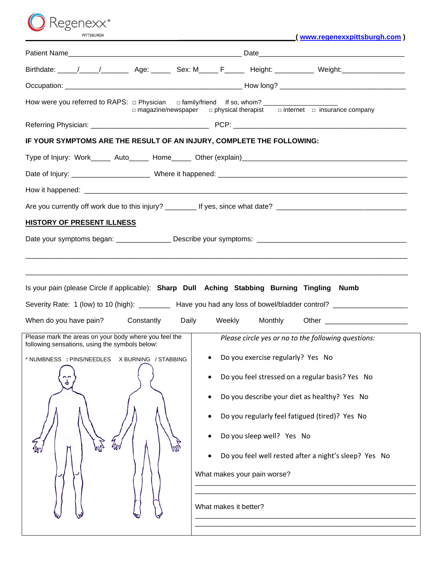$\bigcirc$  Regenexx $\degree$ PITTSBURGH

| (www.regenexxpittsburgh.com) |
|------------------------------|
|                              |

|                                                                                                         | Birthdate: \____/ ____/ _________ Age: _______ Sex: M_____ F______ Height: ___________ Weight: \______________                                                                                                                                              |
|---------------------------------------------------------------------------------------------------------|-------------------------------------------------------------------------------------------------------------------------------------------------------------------------------------------------------------------------------------------------------------|
|                                                                                                         |                                                                                                                                                                                                                                                             |
|                                                                                                         | $\Box$ magazine/newspaper $\Box$ physical therapist $\Box$ internet $\Box$ insurance company                                                                                                                                                                |
|                                                                                                         |                                                                                                                                                                                                                                                             |
| IF YOUR SYMPTOMS ARE THE RESULT OF AN INJURY, COMPLETE THE FOLLOWING:                                   |                                                                                                                                                                                                                                                             |
|                                                                                                         |                                                                                                                                                                                                                                                             |
|                                                                                                         |                                                                                                                                                                                                                                                             |
|                                                                                                         |                                                                                                                                                                                                                                                             |
|                                                                                                         |                                                                                                                                                                                                                                                             |
| <b>HISTORY OF PRESENT ILLNESS</b>                                                                       |                                                                                                                                                                                                                                                             |
|                                                                                                         |                                                                                                                                                                                                                                                             |
|                                                                                                         |                                                                                                                                                                                                                                                             |
|                                                                                                         |                                                                                                                                                                                                                                                             |
|                                                                                                         | Is your pain (please Circle if applicable): Sharp Dull Aching Stabbing Burning Tingling Numb                                                                                                                                                                |
|                                                                                                         | Severity Rate: 1 (low) to 10 (high): _________ Have you had any loss of bowel/bladder control? _______________                                                                                                                                              |
| When do you have pain?<br>Constantly                                                                    | Monthly<br>Daily<br>Weekly<br>Other and the contract of the contract of the contract of the contract of the contract of the contract of the contract of the contract of the contract of the contract of the contract of the contract of the contract of the |
| Please mark the areas on your body where you feel the<br>following sensations, using the symbols below: | Please circle yes or no to the following questions:                                                                                                                                                                                                         |
| * NUMBNESS : PINS/NEEDLES X BURNING / STABBING                                                          | • Do you exercise regularly? Yes No                                                                                                                                                                                                                         |
| ڂ                                                                                                       | Do you feel stressed on a regular basis? Yes No                                                                                                                                                                                                             |
|                                                                                                         | Do you describe your diet as healthy? Yes No                                                                                                                                                                                                                |
|                                                                                                         | Do you regularly feel fatigued (tired)? Yes No                                                                                                                                                                                                              |
|                                                                                                         | Do you sleep well? Yes No                                                                                                                                                                                                                                   |
|                                                                                                         | Do you feel well rested after a night's sleep? Yes No                                                                                                                                                                                                       |
|                                                                                                         | What makes your pain worse?                                                                                                                                                                                                                                 |
|                                                                                                         |                                                                                                                                                                                                                                                             |
|                                                                                                         | What makes it better?                                                                                                                                                                                                                                       |
|                                                                                                         |                                                                                                                                                                                                                                                             |
|                                                                                                         |                                                                                                                                                                                                                                                             |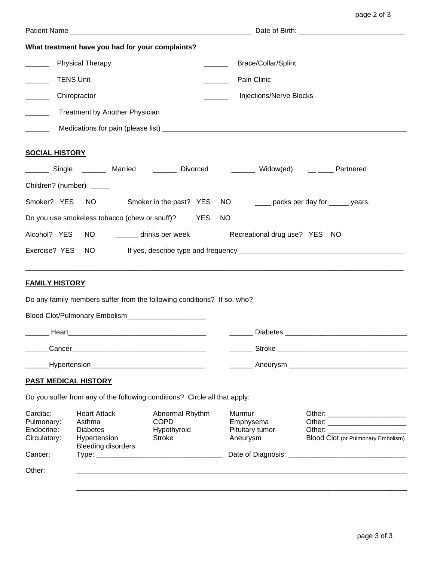|                                                                                       | What treatment have you had for your complaints?                                              |                                                                |                                                                                            |                                    |  |
|---------------------------------------------------------------------------------------|-----------------------------------------------------------------------------------------------|----------------------------------------------------------------|--------------------------------------------------------------------------------------------|------------------------------------|--|
| <b>Physical Therapy</b>                                                               |                                                                                               | <b>Brace/Collar/Splint</b>                                     |                                                                                            |                                    |  |
|                                                                                       | <b>TENS Unit</b>                                                                              |                                                                | Pain Clinic                                                                                |                                    |  |
| $\overline{\phantom{a}}$                                                              | Chiropractor                                                                                  |                                                                | Injections/Nerve Blocks                                                                    |                                    |  |
|                                                                                       | Treatment by Another Physician                                                                |                                                                |                                                                                            |                                    |  |
| $\overline{\phantom{a}}$                                                              |                                                                                               |                                                                |                                                                                            |                                    |  |
| <b>SOCIAL HISTORY</b>                                                                 |                                                                                               |                                                                |                                                                                            |                                    |  |
|                                                                                       |                                                                                               |                                                                | _______ Single _______ Married   _______ Divorced    _______ Widow(ed)   __ ____ Partnered |                                    |  |
| Children? (number) _____                                                              |                                                                                               |                                                                |                                                                                            |                                    |  |
| Smoker? YES NO Smoker in the past? YES<br>NO ________ packs per day for ______ years. |                                                                                               |                                                                |                                                                                            |                                    |  |
| Do you use smokeless tobacco (chew or snuff)? YES<br>NO                               |                                                                                               |                                                                |                                                                                            |                                    |  |
|                                                                                       | NO __________ drinks per week<br>Recreational drug use? YES NO<br>Alcohol? YES                |                                                                |                                                                                            |                                    |  |
| Exercise? YES                                                                         | NO                                                                                            |                                                                |                                                                                            |                                    |  |
| <b>FAMILY HISTORY</b>                                                                 |                                                                                               |                                                                |                                                                                            |                                    |  |
|                                                                                       | Do any family members suffer from the following conditions? If so, who?                       |                                                                |                                                                                            |                                    |  |
|                                                                                       | Blood Clot/Pulmonary Embolism_______________________                                          |                                                                |                                                                                            |                                    |  |
|                                                                                       |                                                                                               |                                                                |                                                                                            |                                    |  |
|                                                                                       |                                                                                               |                                                                |                                                                                            |                                    |  |
|                                                                                       |                                                                                               |                                                                |                                                                                            |                                    |  |
| <b>PAST MEDICAL HISTORY</b>                                                           |                                                                                               |                                                                |                                                                                            |                                    |  |
|                                                                                       | Do you suffer from any of the following conditions? Circle all that apply:                    |                                                                |                                                                                            |                                    |  |
| Cardiac:<br>Pulmonary:<br>Endocrine:<br>Circulatory:<br>Cancer:                       | <b>Heart Attack</b><br>Asthma<br><b>Diabetes</b><br>Hypertension<br><b>Bleeding disorders</b> | Abnormal Rhythm<br><b>COPD</b><br>Hypothyroid<br><b>Stroke</b> | Murmur<br>Emphysema<br>Pituitary tumor<br>Aneurysm                                         | Blood Clot (or Pulmonary Embolism) |  |
| Other:                                                                                |                                                                                               |                                                                |                                                                                            |                                    |  |
|                                                                                       |                                                                                               |                                                                |                                                                                            |                                    |  |